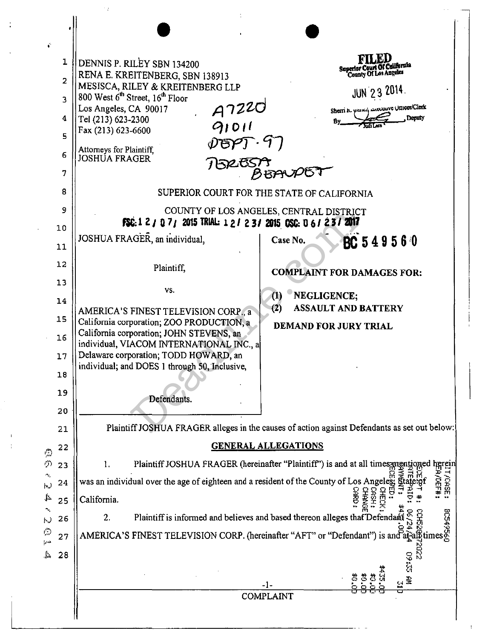| ÷                                                |                |                                                                                                                                                                                                    |                                                                                                                                                                                                                                                               |  |  |  |  |  |
|--------------------------------------------------|----------------|----------------------------------------------------------------------------------------------------------------------------------------------------------------------------------------------------|---------------------------------------------------------------------------------------------------------------------------------------------------------------------------------------------------------------------------------------------------------------|--|--|--|--|--|
|                                                  | 1              | DENNIS P. RILEY SBN 134200                                                                                                                                                                         |                                                                                                                                                                                                                                                               |  |  |  |  |  |
|                                                  | $\overline{c}$ | RENA E. KREITENBERG, SBN 138913                                                                                                                                                                    | Superior Court Of California<br>County Of Los Angeles                                                                                                                                                                                                         |  |  |  |  |  |
|                                                  | 3              | MESISCA, RILEY & KREITENBERG LLP<br>800 West 6 <sup>th</sup> Street, 16 <sup>th</sup> Floor                                                                                                        | <b>JUN 23 2014.</b>                                                                                                                                                                                                                                           |  |  |  |  |  |
|                                                  | 4              | $A7220$<br>91011<br>Los Angeles, CA 90017<br>Tel (213) 623-2300                                                                                                                                    | Sherri R. Parkey LAGUILLVG UTHCONClerk<br>Deputy<br>By.                                                                                                                                                                                                       |  |  |  |  |  |
|                                                  | 5              | Fax (213) 623-6600                                                                                                                                                                                 |                                                                                                                                                                                                                                                               |  |  |  |  |  |
|                                                  | 6              | $\mathscr{V}\mathfrak{S}\mathscr{P}$ ).<br>Attorneys for Plaintiff,<br>JOSHUA FRAGER                                                                                                               |                                                                                                                                                                                                                                                               |  |  |  |  |  |
|                                                  | 7              | 15265                                                                                                                                                                                              |                                                                                                                                                                                                                                                               |  |  |  |  |  |
|                                                  | 8              |                                                                                                                                                                                                    | SUPERIOR COURT FOR THE STATE OF CALIFORNIA                                                                                                                                                                                                                    |  |  |  |  |  |
|                                                  | 9              |                                                                                                                                                                                                    | COUNTY OF LOS ANGELES, CENTRAL DISTRICT                                                                                                                                                                                                                       |  |  |  |  |  |
|                                                  | 10             | FSC: 1 2 / 0 7 / 2015 TRIAL: 1 2 / 2 3 / 2015 OSC: 0 6 / 2 3 / 2017                                                                                                                                |                                                                                                                                                                                                                                                               |  |  |  |  |  |
|                                                  | 11             | JOSHUA FRAGER, an individual,                                                                                                                                                                      | BC 549560<br>Case No.                                                                                                                                                                                                                                         |  |  |  |  |  |
|                                                  | 12             | Plaintiff,                                                                                                                                                                                         |                                                                                                                                                                                                                                                               |  |  |  |  |  |
|                                                  | 13             |                                                                                                                                                                                                    | <b>COMPLAINT FOR DAMAGES FOR:</b>                                                                                                                                                                                                                             |  |  |  |  |  |
|                                                  | 14             | VS.<br>NEGLICENCE:<br>$\left( 1\right)$                                                                                                                                                            |                                                                                                                                                                                                                                                               |  |  |  |  |  |
|                                                  | 15             | (2)<br><b>ASSAULT AND BATTERY</b><br>AMERICA'S FINEST TELEVISION CORP., a<br>California corporation; ZOO PRODUCTION, a<br><b>DEMAND FOR JURY TRIAL</b><br>California corporation; JOHN STEVENS, an |                                                                                                                                                                                                                                                               |  |  |  |  |  |
|                                                  | 16             |                                                                                                                                                                                                    |                                                                                                                                                                                                                                                               |  |  |  |  |  |
|                                                  | 17             | individual, VIACOM INTERNATIONAL INC., a<br>Delaware corporation; TODD HOWARD, an<br>individual; and DOES 1 through 50, Inclusive,                                                                 |                                                                                                                                                                                                                                                               |  |  |  |  |  |
|                                                  | 18             |                                                                                                                                                                                                    |                                                                                                                                                                                                                                                               |  |  |  |  |  |
|                                                  | 19             |                                                                                                                                                                                                    |                                                                                                                                                                                                                                                               |  |  |  |  |  |
|                                                  | 20             | Defendants.                                                                                                                                                                                        |                                                                                                                                                                                                                                                               |  |  |  |  |  |
|                                                  | 21             |                                                                                                                                                                                                    | Plaintiff JOSHUA FRAGER alleges in the causes of action against Defendants as set out below:                                                                                                                                                                  |  |  |  |  |  |
| 盗                                                | 22             |                                                                                                                                                                                                    | <b>GENERAL ALLEGATIONS</b>                                                                                                                                                                                                                                    |  |  |  |  |  |
| -5)                                              | 23             | 1.                                                                                                                                                                                                 | Plaintiff JOSHUA FRAGER (hereinafter "Plaintiff") is and at all times mentioned herei                                                                                                                                                                         |  |  |  |  |  |
| $\Delta_{\rm L}$<br>$\vert \pi_{\alpha} \rangle$ | 24             | was an individual over the age of eighteen and a resident of the County of Los Angeles; gra                                                                                                        | $\frac{1}{2}$                                                                                                                                                                                                                                                 |  |  |  |  |  |
| Þ.                                               | 25             | California.                                                                                                                                                                                        | <b>AKO</b>                                                                                                                                                                                                                                                    |  |  |  |  |  |
| ∿,<br>$ \cdot $                                  | 26             |                                                                                                                                                                                                    | 2. Plaintiff is informed and believes and based thereon alleges that Defendant $\frac{1}{2}$ $\frac{1}{2}$ $\frac{1}{2}$ $\frac{1}{2}$ $\frac{1}{2}$ $\frac{1}{2}$ $\frac{1}{2}$ $\frac{1}{2}$ AMERICA'S FINEST TELEVISION CORP. (hereinafter "AFT" or "Defen |  |  |  |  |  |
| Q<br>خبرع                                        | 27             |                                                                                                                                                                                                    |                                                                                                                                                                                                                                                               |  |  |  |  |  |
| $\mathcal{L}_{\mathcal{A}}$                      | 28             |                                                                                                                                                                                                    | $\frac{3}{2}$                                                                                                                                                                                                                                                 |  |  |  |  |  |
|                                                  |                |                                                                                                                                                                                                    |                                                                                                                                                                                                                                                               |  |  |  |  |  |
|                                                  |                |                                                                                                                                                                                                    | -1-<br><b>COMPLAINT</b>                                                                                                                                                                                                                                       |  |  |  |  |  |
|                                                  |                |                                                                                                                                                                                                    |                                                                                                                                                                                                                                                               |  |  |  |  |  |

 $\mathbb{Z}_2$ 

÷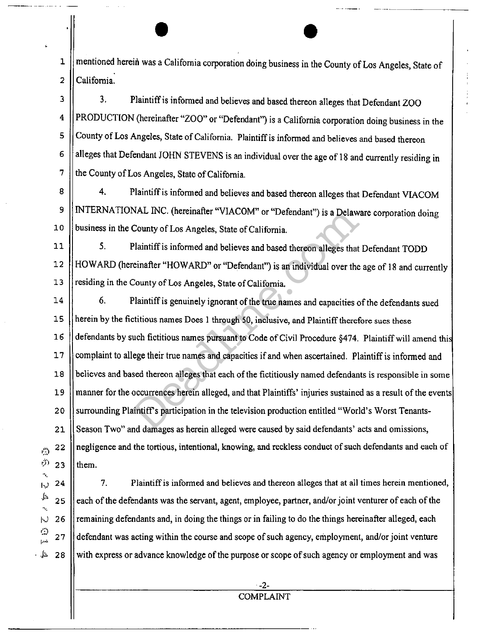• • 1 mentioned herein was a California corporation doing business in the County of Los Angeles, State of 2 || California.

3 4 5 6 7 3. Plaintiff is informed and believes and based thereon alleges that Defendant ZOO PRODUCTION (hereinafter "ZOO" or "Defendant") is a California corporation doing business in the County of Los Angeles, State of California. Plaintiff is informed and believes and based thereon alleges that Defendant JOHN STEVENS is an individual over the age of 18 and currently residing in the County of Los Angeles, State of California.

8 9 10 4. Plaintiff is informed and believes and based thereon alleges that Defendant VIACOM INTERNATIONAL INC. (hereinafter "VIACOM" or "Defendant") is a Delaware corporation doing business in the County of Los Angeles, State of California.

11 12 13 5. Plaintiff is informed and believes and based thereon alleges that Defendant TODD HOW ARD (hereinafter "HOWARD" or "Defendant") is an individual over the age of 18 and currently residing in the County of Los Angeles, State of California.

14 15 16 17 18 19 20 21 22 23 6. Plaintiff is genuinely ignorant of the true names and capacities of the defendants sued herein by the fictitious names Does I through 50, inclusive, and Plaintiff therefore sues these defendants by such fictitious names pursuant to Code of Civil Procedure §474. Plaintiff will amend thi complaint to allege their true names and capacities if and when ascertained. Plaintiff is informed and believes and based thereon alleges that each of the fictitiously named defendants is responsible in some manner for the occurrences herein alleged, and that Plaintiffs' injuries sustained as a result of the events surrounding Plaintiffs participation in the television production entitled "World's Worst Tenants-Season Two" and damages as herein alleged were caused by said defendants' acts and omissions, negligence and the tortious, intentional, knowing, and reckless conduct of such defendants and each of them. NAL INC. (hereinatter "VIACOM" or "Defendant") is a Delaw<br>County of Los Angeles, State of California.<br>Plaintiff is informed and believes and based thereon alleges that<br>reinafter "HOWARD" or "Defendant") is an individual ov

 $\mathsf{r}^{(\ell)}$ "'· 24 hJ ... <sup>~</sup> 25 .,\_ 26 i·.J r:~ 27 د.<br>د را

 $\mathbb{Z}$   $\mathbb{Z}$ 

28

 $\circ$ 

7. Plaintiff is informed and believes and thereon alleges that at all times herein mentioned, each of the defendants was the servant, agent, employee, partner, and/or joint venturer of each of the remaining defendants and, in doing the things or in failing to do the things hereinafter alleged, each defendant was acting within the course and scope of such agency, employment, and/or joint venture with express or advance knowledge of the purpose or scope of such agency or employment and was

-2- COMPLAINT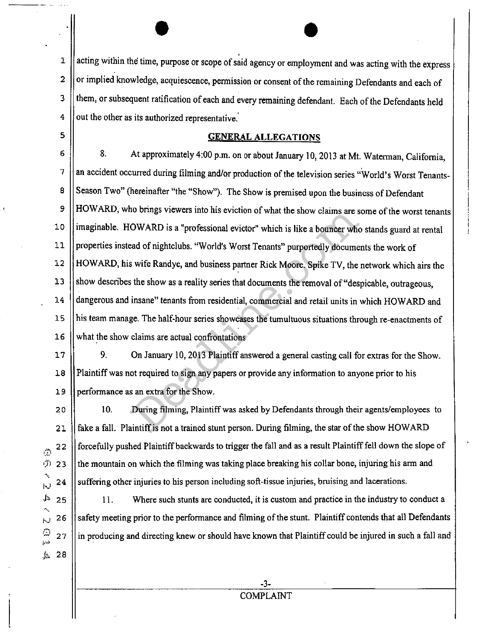• • 1 acting within the time, purpose or scope of said agency or employment and was acting with the express 2 | or implied knowledge, acquiescence, permission or consent of the remaining Defendants and each of 3 | them, or subsequent ratification of each and every remaining defendant. Each of the Defendants held  $4$   $\parallel$  out the other as its authorized representative.

### 5 **GENERAL ALLEGATIONS**

6 | 8. At approximately 4:00 p.m. on or about January 10, 2013 at Mt. Waterman, California,  $7$  || an accident occurred during filming and/or production of the television series "World's Worst Tenants-8 Season Two" (hereinafter "the "Show"). The Show is premised upon the business of Defendant 9 HOWARD, who brings viewers into his eviction of what the show claims are some of the worst tenants 10 | imaginable. HOWARD is a "professional evictor" which is like a bouncer who stands guard at rental 11 properties instead of nightclubs. "World's Worst Tenants" purportedly documents the work of 12 HOWARD, his wife Randye, and business partner Rick Moore. Spike TV, the network which airs the 13 Show describes the show as a reality series that documents the removal of "despicable, outrageous, 14 | dangerous and insane" tenants from residential, commercial and retail units in which HOWARD and 15 his team manage. The half-hour series showcases the tumultuous situations through re-enactments of 16 | what the show claims are actual confrontations no orings viewers into nis eviction of what the show claims are s<br>OWARD is a "professional evictor" which is like a bouncer who<br>ead of nightclubs. "World's Worst Tenants" purportedly docume<br>s wife Randye, and business part

 $\ddot{\circ}$ 

'•. J··) .J~ "•.  $\sim$ .,, **r·'** <sup>M</sup>  $\mathbf{L}$ .. *k·*  28

17 9. On January 10, 2013 Plaintiff answered a general casting call for extras for the Show. 18 Plaintiff was not required to sign any papers or provide any information to anyone prior to his 19 **performance as an extra for the Show.** 

**1:J')**  23 20 10. During filming, Plaintiff was asked by Defendants through their agents/employees to 22 24 21 || fake a fall. Plaintiff is not a trained stunt person. During filming, the star of the show HOWARD forcefully pushed Plaintiff backwards to trigger the fall and as a result Plaintiff fell down the slope of the mountain on which the filming was taking place breaking his collar bone, injuring his arm and suffering other injuries to his person including soft-tissue injuries, bruising and lacerations.

25 26 27 11. Where such stunts are conducted, it is custom and practice in the industry to conduct a safety meeting prior to the performance and filming of the stunt. Plaintiff contends that all Defendants in producing and directing knew or should have known that Plaintiff could be injured in such a fall and

> -3- COMPLAINT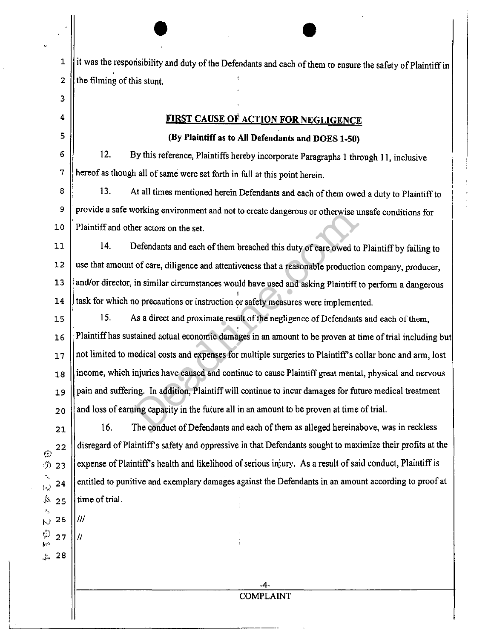$\bullet$  $1$  ||it was the responsibility and duty of the Defendants and each of them to ensure the safety of Plaintiff in 2  $\left| \right|$  the filming of this stunt.

## **FIRST CAUSE OF ACTION FOR NEGLIGENCE**

### **(By Plaintiff as to All Defendants and DOES 1-50)**

6 7 12. By this reference, Plaintiffs hereby incorporate Paragraphs l through **11,** inclusive hereof as though all of same were set forth in full at this point herein.

3

4

5

 $26$  || $\textit{III}$ 

ි 27

.)\> 28

8 9 10 13. At all times mentioned herein Defendants and each of them owed a duty to Plaintiff to provide a safe working environment and not to create dangerous or otherwise unsafe conditions for Plaintiff and other actors on the set.

11 12 13 14 14. Defendants and each of them breached this duty of care owed to Plaintiff by failing to use that amount of care, diligence and attentiveness that a reasonable production company, producer, and/or director, in similar circumstances would have used and asking Plaintiff to perform a dangerous task for which no precautions or instruction or safety measures were implemented.

15 16 17 18 19 20 15. As a direct and proximate result of the negligence of Defendants and each of them, Plaintiff has sustained actual economic damages in an amount to be proven at time of trial including but not limited to medical costs and expenses for multiple surgeries to Plaintiff's collar bone and arm, lost income, which injuries have caused and continue to cause Plaintiff great mental, physical and nervous pain and suffering. In addition, Plaintiff will continue to incur damages for future medical treatment and loss of earning capacity in the future all in an amount to be proven at time of trial. working environment and not to create dangerous or otherwise u<br>her actors on the set.<br>Defendants and each of them breached this duty of care owed to<br>it of care, diligence and attentiveness that a reasonable productio<br>i, in

21  $~^{22}$ •'.1l 23  $\mathbf{E}$  24  $*$  25 16. The conduct of Defendants and each of them as alleged hereinabove, was in reckless disregard of Plaintiffs safety and oppressive in that Defendants sought to maximize their profits at the expense of Plaintiff's health and likelihood of serious injury. As a result of said conduct, Plaintiff is entitled to punitive and exemplary damages against the Defendants in an amount according to proof at time of trial.

> -4- COMPLAINT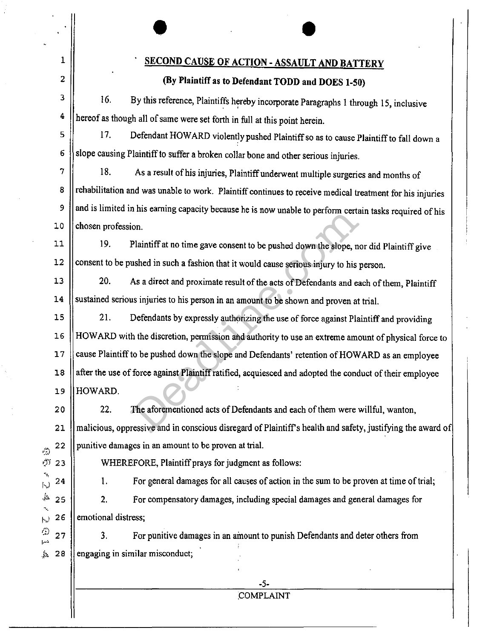| 1                                | <b>SECOND CAUSE OF ACTION - ASSAULT AND BATTERY</b>                                                        |  |  |  |  |  |
|----------------------------------|------------------------------------------------------------------------------------------------------------|--|--|--|--|--|
| 2                                | (By Plaintiff as to Defendant TODD and DOES 1-50)                                                          |  |  |  |  |  |
| 3                                | 16.<br>By this reference, Plaintiffs hereby incorporate Paragraphs 1 through 15, inclusive                 |  |  |  |  |  |
| 4                                | hereof as though all of same were set forth in full at this point herein.                                  |  |  |  |  |  |
| 5                                | 17.<br>Defendant HOWARD violently pushed Plaintiff so as to cause Plaintiff to fall down a                 |  |  |  |  |  |
| 6                                | slope causing Plaintiff to suffer a broken collar bone and other serious injuries.                         |  |  |  |  |  |
| 7                                | 18.<br>As a result of his injuries, Plaintiff underwent multiple surgeries and months of                   |  |  |  |  |  |
| 8                                | rehabilitation and was unable to work. Plaintiff continues to receive medical treatment for his injuries   |  |  |  |  |  |
| 9                                | and is limited in his earning capacity because he is now unable to perform certain tasks required of his   |  |  |  |  |  |
| 10                               | chosen profession.                                                                                         |  |  |  |  |  |
| 11                               | 19.<br>Plaintiff at no time gave consent to be pushed down the slope, nor did Plaintiff give               |  |  |  |  |  |
| 12                               | consent to be pushed in such a fashion that it would cause serious injury to his person.                   |  |  |  |  |  |
| 13                               | 20.<br>As a direct and proximate result of the acts of Defendants and each of them, Plaintiff              |  |  |  |  |  |
| 14                               | sustained serious injuries to his person in an amount to be shown and proven at trial.                     |  |  |  |  |  |
| 15                               | 21.<br>Defendants by expressly authorizing the use of force against Plaintiff and providing                |  |  |  |  |  |
| 16                               | HOWARD with the discretion, permission and authority to use an extreme amount of physical force to         |  |  |  |  |  |
| 17                               | cause Plaintiff to be pushed down the slope and Defendants' retention of HOWARD as an employee             |  |  |  |  |  |
| $18\,$                           | after the use of force against Plaintiff ratified, acquiesced and adopted the conduct of their employee    |  |  |  |  |  |
| 19                               | HOWARD.                                                                                                    |  |  |  |  |  |
| 20                               | 22.<br>The aforementioned acts of Defendants and each of them were willful, wanton,                        |  |  |  |  |  |
| 21                               | malicious, oppressive and in conscious disregard of Plaintiff's health and safety, justifying the award of |  |  |  |  |  |
| 22<br>$\hat{\mathbb{C}}$         | punitive damages in an amount to be proven at trial.                                                       |  |  |  |  |  |
| $\epsilon$ j j<br>23             | WHEREFORE, Plaintiff prays for judgment as follows:                                                        |  |  |  |  |  |
| 24<br>$\cup$                     | For general damages for all causes of action in the sum to be proven at time of trial;<br>1.               |  |  |  |  |  |
| $\frac{1}{2}$<br>25              | 2.<br>For compensatory damages, including special damages and general damages for                          |  |  |  |  |  |
| 26<br>$ \cdot_{v}\rangle$        | emotional distress;                                                                                        |  |  |  |  |  |
| 6<br>27<br>$\mathbf{p}^{\prime}$ | 3.<br>For punitive damages in an amount to punish Defendants and deter others from                         |  |  |  |  |  |
| 28<br>Ĵа.                        | engaging in similar misconduct;                                                                            |  |  |  |  |  |
|                                  |                                                                                                            |  |  |  |  |  |
|                                  | $-5-$<br><b>COMPLAINT</b>                                                                                  |  |  |  |  |  |
|                                  |                                                                                                            |  |  |  |  |  |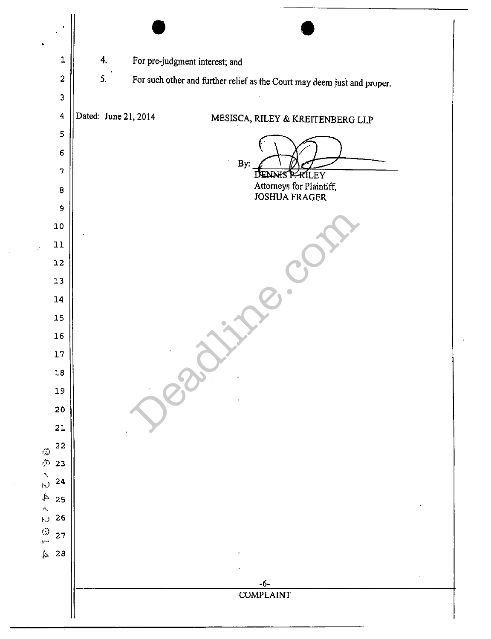| 1                                                            | 4.<br>For pre-judgment interest; and                                           |
|--------------------------------------------------------------|--------------------------------------------------------------------------------|
| $\mathbf 2$                                                  | 5.<br>For such other and further relief as the Court may deem just and proper. |
| $\mathbf{3}$                                                 |                                                                                |
| $\overline{\mathbf{4}}$                                      | Dated: June 21, 2014<br>MESISCA, RILEY & KREITENBERG LLP                       |
| 5                                                            |                                                                                |
| $\epsilon$                                                   | By:                                                                            |
| 7                                                            | <b>RILEY</b><br>П<br>ENNIS P                                                   |
| $\bf 8$                                                      | Attorneys for Plaintiff,<br><b>JOSHUA FRAGER</b>                               |
| $\,9$                                                        |                                                                                |
| ${\bf 10}$                                                   |                                                                                |
| $11\,$<br>U.                                                 |                                                                                |
| $12\,$<br>${\bf 13}$                                         |                                                                                |
| 14                                                           |                                                                                |
| $15\,$                                                       |                                                                                |
| 16                                                           |                                                                                |
| $17\,$                                                       |                                                                                |
| $18\,$                                                       |                                                                                |
| 19                                                           |                                                                                |
| ${\bf 20}$                                                   |                                                                                |
| 21                                                           |                                                                                |
| 22<br>$\frac{1}{2}$                                          |                                                                                |
| 23<br>l,                                                     |                                                                                |
| 24<br>$\left\vert \cdot \right\rangle$<br>$\downarrow$<br>25 |                                                                                |
| $\sigma_{\rm g}$<br>26<br>$\vert \downarrow$                 |                                                                                |
| O<br>H<br>27                                                 |                                                                                |
| $\int_{\Omega}$<br>28                                        |                                                                                |
|                                                              |                                                                                |
|                                                              | $-6-$<br><b>COMPLAINT</b>                                                      |
|                                                              |                                                                                |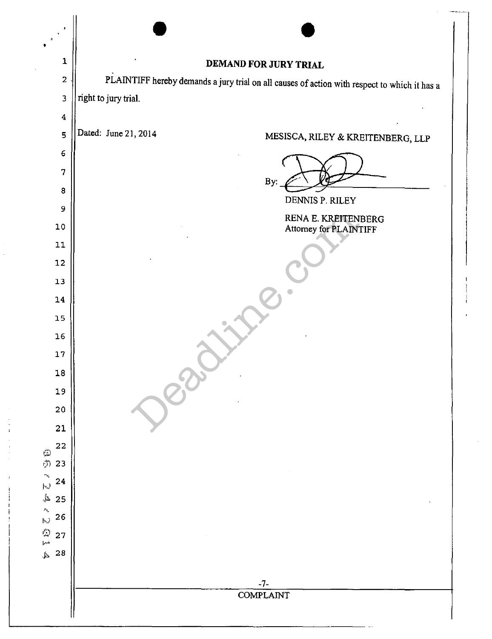| 1                                                           | DEMAND FOR JURY TRIAL                                                                        |
|-------------------------------------------------------------|----------------------------------------------------------------------------------------------|
| $\mathbf{z}$                                                | PLAINTIFF hereby demands a jury trial on all causes of action with respect to which it has a |
| $\overline{\mathbf{3}}$                                     | right to jury trial.                                                                         |
| $\overline{4}$                                              |                                                                                              |
| 5                                                           | Dated: June 21, 2014<br>MESISCA, RILEY & KREITENBERG, LLP                                    |
| 6                                                           |                                                                                              |
| 7                                                           | By:                                                                                          |
| 8                                                           | DENNIS P. RILEY                                                                              |
| 9                                                           | RENA E. KREITENBERG                                                                          |
| $10\,$<br>11                                                | Attorney for PLAINTIFF                                                                       |
| 12                                                          |                                                                                              |
| 13                                                          |                                                                                              |
| 14                                                          |                                                                                              |
| 15                                                          |                                                                                              |
| $16$                                                        |                                                                                              |
| $17\,$                                                      |                                                                                              |
| ${\bf 18}$                                                  |                                                                                              |
| 19                                                          |                                                                                              |
| ${\bf 20}$                                                  |                                                                                              |
| 21                                                          |                                                                                              |
| 22<br>ු<br>එ                                                |                                                                                              |
| 23<br>$\hat{\mathcal{O}}_{\mathbf{Q}}$<br>24                |                                                                                              |
| þ.)<br>₫,<br>25                                             |                                                                                              |
| $\mathbf{v}_\mathrm{c}$<br>26<br>$\mathfrak{h}\mathfrak{J}$ |                                                                                              |
| $\begin{pmatrix} 1 \\ -1 \end{pmatrix}$<br>27               |                                                                                              |
| ${\bf 28}$<br>$\mathcal{A}.$                                |                                                                                              |
|                                                             |                                                                                              |
|                                                             | $-7-$<br><b>COMPLAINT</b>                                                                    |
|                                                             |                                                                                              |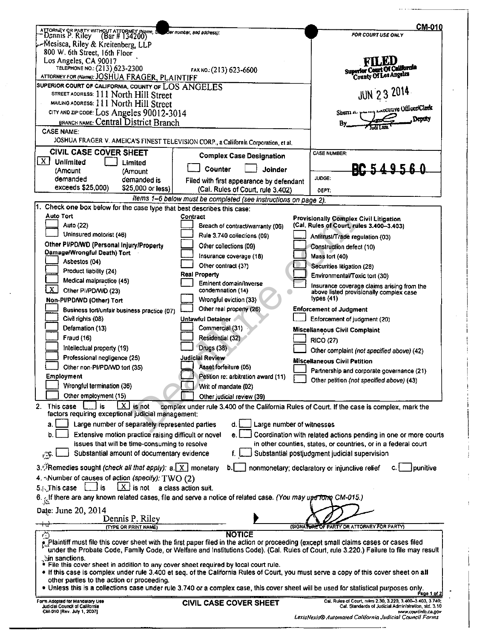|                                                                                                              |                                                                 | CM-010                                                                                                                                            |
|--------------------------------------------------------------------------------------------------------------|-----------------------------------------------------------------|---------------------------------------------------------------------------------------------------------------------------------------------------|
| ATTORNEY OR PARTY WITHOUT ATTORNEY (Name, S)<br>" Dennis P. Riley (Bar # 134200)                             | Bar number, and address):                                       | FOR COURT USE ONLY                                                                                                                                |
| -Mesisca, Riley & Kreitenberg, LLP                                                                           |                                                                 |                                                                                                                                                   |
| 800 W. 6th Street, 16th Floor                                                                                |                                                                 |                                                                                                                                                   |
| Los Angeles, CA 90017                                                                                        |                                                                 | <b>FILED</b>                                                                                                                                      |
| TELEPHONE NO.: (213) 623-2300                                                                                | Superior Court Of California                                    |                                                                                                                                                   |
| ATTORNEY FOR (Name): JOSHUA FRAGER, PLAINTIFF                                                                |                                                                 | County Of Los Angeles                                                                                                                             |
| SUPERIOR COURT OF CALIFORNIA, COUNTY OF LOS ANGELES                                                          |                                                                 | <b>JUN 23 2014</b>                                                                                                                                |
| STREET ADDRESS: 111 North Hill Street                                                                        |                                                                 |                                                                                                                                                   |
| MAILING ADDRESS: 111 North Hill Street                                                                       |                                                                 | Shern K. Pursey LARCHIVE Officer/Clork                                                                                                            |
| CITY AND ZIP-CODE: LOS Angeles 90012-3014                                                                    |                                                                 | Deptry                                                                                                                                            |
| BRANCH NAME: Central District Branch                                                                         |                                                                 | By.                                                                                                                                               |
| CASE NAME:                                                                                                   |                                                                 |                                                                                                                                                   |
| JOSHUA FRAGER V. AMEICA'S FINEST TELEVISION CORP., a California Corporation, et al.                          |                                                                 |                                                                                                                                                   |
| CIVIL CASE COVER SHEET                                                                                       |                                                                 | <b>CASE NUMBER:</b>                                                                                                                               |
| X <br><b>Unlimited</b><br>Limited                                                                            | <b>Complex Case Designation</b>                                 |                                                                                                                                                   |
| (Amount<br>(Amount                                                                                           | Counter<br><b>Joinder</b>                                       | BC 549560                                                                                                                                         |
| demanded<br>demanded is                                                                                      | Filed with first appearance by defendant                        | JUDGE:                                                                                                                                            |
| exceeds \$25,000)<br>\$25,000 or less)                                                                       | (Cal. Rules of Court, rule 3.402)                               | DEPT:                                                                                                                                             |
|                                                                                                              | Items 1-6 below must be completed (see instructions on page 2). |                                                                                                                                                   |
| 1. Check one box below for the case type that best describes this case:                                      |                                                                 |                                                                                                                                                   |
| Auto Tort                                                                                                    | Contract                                                        |                                                                                                                                                   |
| Auto (22)                                                                                                    | Breach of contract/warranty (06)                                | <b>Provisionally Complex Civil Litigation</b><br>(Cal. Rules of Court, rules 3.400-3.403)                                                         |
| Uninsured motorist (46)                                                                                      | Rule 3.740 collections (09)                                     |                                                                                                                                                   |
| Other PI/PD/WD (Personal Injury/Property                                                                     |                                                                 | Antitrust/Trade regulation (03)                                                                                                                   |
| Damage/Wrongful Death) Tort                                                                                  | Other collections (09)                                          | Construction defect (10)                                                                                                                          |
| Asbestos (04)                                                                                                | Insurance coverage (18)                                         | Mass tort (40)                                                                                                                                    |
| Product liability (24)                                                                                       | Other contract (37)                                             | Securities litigation (28)                                                                                                                        |
|                                                                                                              | Real Property                                                   | Environmental/Toxic tort (30)                                                                                                                     |
| Medical malpractice (45)<br>X                                                                                | Eminent domain/Inverse                                          | Insurance coverage claims arising from the                                                                                                        |
| Other PI/PD/WD (23)                                                                                          | condemnation (14)                                               | above listed provisionally complex case                                                                                                           |
| Non-PI/PD/WD (Other) Tort                                                                                    | Wrongful eviction (33)                                          | types $(41)$                                                                                                                                      |
| Business tort/unfair business practice (07)                                                                  | Other real property (26)                                        | <b>Enforcement of Judgment</b>                                                                                                                    |
| Civil rights (08)                                                                                            | Unlawful Detainer                                               | Enforcement of judgment (20)                                                                                                                      |
| Defamation (13)                                                                                              | Commercial (31)                                                 | <b>Miscellaneous Civil Complaint</b>                                                                                                              |
| <b>Fraud (16)</b>                                                                                            | Residential (32)                                                | <b>RICO (27)</b>                                                                                                                                  |
| Intellectual property (19)                                                                                   | Drugs (38)                                                      | Other complaint (not specified above) (42)                                                                                                        |
| Professional negligence (25)                                                                                 | <b>Judicial Review</b>                                          | <b>Miscellaneous Civil Petition</b>                                                                                                               |
| Other non-PI/PD/WD tort (35)                                                                                 | Asset forfeiture (05)                                           |                                                                                                                                                   |
| Employment                                                                                                   | Petition re: arbitration award (11)                             | Partnership and corporate governance (21)                                                                                                         |
| Wrongful termination (36)                                                                                    | Writ of mandate (02)                                            | Other petition (not specified above) (43)                                                                                                         |
| Other employment (15)                                                                                        |                                                                 |                                                                                                                                                   |
| x                                                                                                            | Other judicial review (39)                                      |                                                                                                                                                   |
| 2. This case<br>is not<br>factors requiring exceptional judicial management:                                 |                                                                 | complex under rule 3.400 of the California Rules of Court. If the case is complex, mark the                                                       |
|                                                                                                              |                                                                 |                                                                                                                                                   |
| Large number of separately represented parties<br>а.                                                         | d.                                                              | Large number of witnesses                                                                                                                         |
| Extensive motion practice raising difficult or novel                                                         | e.                                                              | Coordination with related actions pending in one or more courts                                                                                   |
| issues that will be time-consuming to resolve                                                                |                                                                 | in other counties, states, or countries, or in a federal court                                                                                    |
| Substantial amount of documentary evidence<br>$\mathcal{F}_{\mathcal{A}}$                                    |                                                                 | Substantial postjudgment judicial supervision                                                                                                     |
| 3. Remedies sought (check all that apply): a. X monetary                                                     | b.                                                              | punitive                                                                                                                                          |
|                                                                                                              |                                                                 | nonmonetary; declaratory or injunctive relief                                                                                                     |
| 4. Number of causes of action (specify): TWO (2)                                                             |                                                                 |                                                                                                                                                   |
| $X$ is not<br>5. This case<br>is                                                                             | a class action suit.                                            |                                                                                                                                                   |
| 6. If there are any known related cases, file and serve a notice of related case. (You may upe Tono CM-015.) |                                                                 |                                                                                                                                                   |
| Date: June 20, 2014                                                                                          |                                                                 |                                                                                                                                                   |
| Dennis P. Riley                                                                                              |                                                                 |                                                                                                                                                   |
| (TYPE OR PRINT NAME)                                                                                         |                                                                 | (SIGNATURE OF PARTY OR ATTORNEY FOR PARTY)                                                                                                        |
| ನ                                                                                                            | <b>NOTICE</b>                                                   | Let Plaintiff must file this cover sheet with the first paper filed in the action or proceeding (except small claims cases or cases filed         |
|                                                                                                              |                                                                 | under the Probate Code, Family Code, or Welfare and Institutions Code). (Cal. Rules of Court, rule 3.220.) Failure to file may result             |
| ∴in sanctions.                                                                                               |                                                                 |                                                                                                                                                   |
| . File this cover sheet in addition to any cover sheet required by local court rule.                         |                                                                 |                                                                                                                                                   |
|                                                                                                              |                                                                 | • If this case is complex under rule 3,400 et seq. of the California Rules of Court, you must serve a copy of this cover sheet on all             |
| other parties to the action or proceeding.                                                                   |                                                                 |                                                                                                                                                   |
|                                                                                                              |                                                                 | Unless this is a collections case under rule 3.740 or a complex case, this cover sheet will be used for statistical purposes only.<br>Page 1 of 2 |
| Form Adopted for Mandatory Use                                                                               | <b>CIVIL CASE COVER SHEET</b>                                   | Cal. Rules of Court, rules 2.30, 3.220, 3.400-3.403, 3.740;                                                                                       |
| Judicial Council of California<br>CM-010 [Rev. July 1, 2007]                                                 |                                                                 | Cal. Standards of Judicial Administration, std. 3.10<br>www.cou.tinio.ca.gov                                                                      |

LexisNexis® Automated California Judicial Council Forms

—…

 $\mathbf{f}$ 

 $\overline{\phantom{a}}$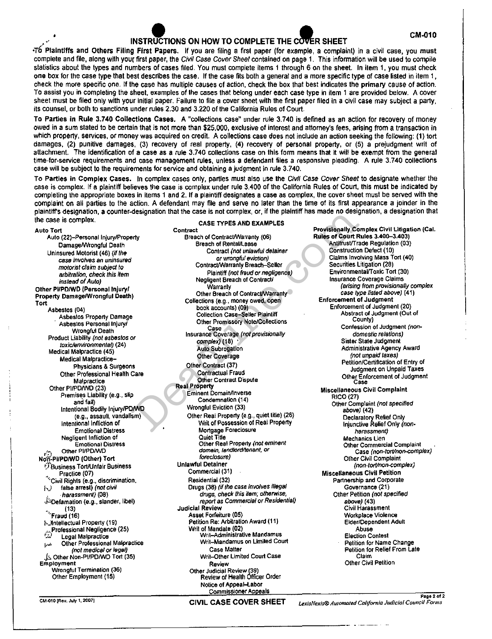# INSTRUCTIONS ON HOW TO COMPLETE THE COVER SHEET **EXAMPLE 12**

T6 Plaintiffs and Others Filing First Papers. If you are filing a first paper (for example, a complaint) in a civil case, you must complete and file, along with your first paper, the Civil Case Cover Sheet contained on page 1. This information will be used to compile statistics about the types and numbers of cases filed. You must complete items 1 through 6 on the sheet. In item 1, you must check one box for the case type that best describes the case, If the case fits both a general and a more specific type of case listed in item 1, check the more specific one. If the case has multiple causes of action, check the box that best indicates the primary cause of action. To assist you in compleling the sheet, examples of the cases that belong under each case type in item 1 are provided below. A cover sheet must be filed only with your initial paper. Failure to file a cover sheet with the first paper filed in a civil case may subject a party, its counsel, or both to sanctions under rules 2.30 and 3.220 of the California Rules of Court.

To Parties in Rule 3.740 Collections Cases. A "collections case" under rule 3.740 is defined as an action for recovery of money owed in a sum slated to be certain that is not more than \$25,000, exclusive of inlerest and attorney's fees, arising from a transaction in which property, services, or money was acquired on credit. A collections case does not include an action seeking the following: (1) tort damages, (2) punitive damages, (3) recovery of real property, (4) recovery of personal property, or (5) a prejudgment writ of attachment. The identification of a case as a rule 3.740 collections case on this form means that it will be exempt from the general time-for-service requirements and case management rules, unless a defendant files a responsive pleading. A rule 3.740 collections case will be subject to the requirements for service and obtaining a judgment in rule 3.740,

To Parties in Complex Cases. In complex cases only, parties must also use the Civil Case Cover Sheet to designate whether the case is complex. If a plaintiff believes the case is complex under rule 3.400 of the California Rules of Court, this must be indicated by completing the appropriate boxes in items 1 and 2. If a plaintiff designates a case as complex, the cover sheet must be served with the complaint on all parties to the action. A defendant may file and serve no later than the lime of its first appearance a joinder in the plaintiff's designation, a counter-designation that the case is not complex, or, if the plaintiff has made no designation, a designation that the case is complex.

CASE TYPES AND EXAMPLES

Contract

Auto Tort Auto (22)-Personal Injury/Property Damage/Wrongful Death Uninsured Motorist (46) (if the case involves an uninsured motorist claim subject to arbitration, check this item instead of Auto) Other PllPD/WD (Personal Injury/ Property Damage/Wrongful Death) Tort Asbestos (04) Asbestos Property Damage · Asbestos Personal Injury/ Wrongful Death Product Liability (not asbestos or toxic/environmental) (24) Medical Malpractice (45) Medical Malpractice-Physicians & Surgeons Other Professional Health Care Malpractice Other Pl/PD/WO (23) Premises Liability (e.g., slip and fall) Intentional Bodily Injury/PD/WD (e.g., assault, vandalism) Intentional Infliction of Emotional Distress Negligent Infliction of Emotional Distress Other PI/PD/WD NOn'-PllPD/WD (Other) Tort ~}Business Tort/Unfair Business Practice (07)  $^{\circ}$ Civil Rights (e.g., discrimination, hJ false arrest) (not civil harassment) (08) .f:.oefamation (e.g., slander, libel) • (13) "·Fraud (16) J'-intellectual Property (19) .~~.Professional Negligence (25) r~-;,..' Legal Malpractice لمتا **Legal Malpractice**<br>المدر Other Professional Malpractice (not medical or legal) \_fe, Other Non-Pl/PD/WO Tort (35) Employment Wrongful Termination (36) Other Employment (15)

Breach of ContractNVarranty (06) Breach of Rental/Lease Contract (not unlawful detainer or wrongful eviction) Contract/Warranty Breach-Seller Plaintiff (not fraud or negligence) Negligent Breach of Contract/ Warranty Other Breach of Contract/Warranty Collections {e.g., money owed, open book accounts) (09) Collection Case-Seller Plaintiff Other Promissory Note/Collections Case Insurance Coverage (not provisionalfy complex) (18) • Auto Subrogation Other Coverage Other Contract (37) Contractual Fraud Other Contrad Dispute Real Property Eminent Domain/Inverse Condemnation (14) Wrongful Eviction (33) Other Real Property (e.g., quiet tille) (26) Writ of Possession of Real Property Mortgage Foreclosure Quiet Title Other Real Property (not eminent domain, landlord/tenant, or foreclosure) Unlawful Detainer Commercial (31) Residential (32) Drugs (36) (if the case involves illegal drugs, check this item; otherwise, *report* as Commercial or Residential) Judicial Review Asset Forfeiture {05) Petition Re: Arbitration Award (11) Writ of Mandate (02) Writ-Administrative Mandamus Writ-Mandamus on Limiled Court Case Matter Writ-Other Limited Court Case Review Other Judicial Review (39) Review of Health Officer Order Notice of Appeal-labor designation that the case is not complex, or, it the plaintiff has made no designation<br>
Contract<br>
Contract<br>
Contract Marial Cost Types AND EXAMPLES<br>
Greach of Centract Mariam (66)<br>
Breach of Centract Mariam (66)<br>
Contract

Provisionally Complex Civil Litigation {Cal. Rules of Court Rules 3.400-3.403) Antitrust/Trade Regulation (03) Construction Defect (10) Claims Involving Mass Tort (40) Securities Litigation (28) Environmental/Toxic Tort (30) Insurance Coverage Claims (arising from provisionally complex case type listed above) {41) Enforcement of Judgment EnfOrcement of Judgment (20) Abstract of Judgment (Out of County) Confession of Judgment (nondomestic relations) Sister State Judgment Administrative Agency Award (not unpaid taxes) Petition/Certification of Entry of Judgment on Unpaid Taxes Other Enforcement of Judgment Case Miscellaneous Civil Complaint RIC0(27) Other Complaint (not specified above) (42) Declaratory Relief Only Injunctive Relief Only (nonharassment) Mechanics Lien Other Commercial Complaint Case (non-tort/non-complex) Other Civil Complaint (non-tort/non-complex) Miscellaneous Civil Petition Partnership and Corporate Governance (21) Other Petition (not specified above) (43) Civil Harassment Workplace Violence Elder/Dependent Adult Abuse Election Contesl Petition for Name Change Petition for Relief From Late Claim Other Civil Petition

Page2of2 *LexisNexis® Automated California Judicial Council Forms*  CIVIL CASE COVER SHEET LexisNexis® Automated Californ<br>
CIVIL CASE COVER SHEET LexisNexis® Automated Californ<br>
CIVIL CASE COVER SHEET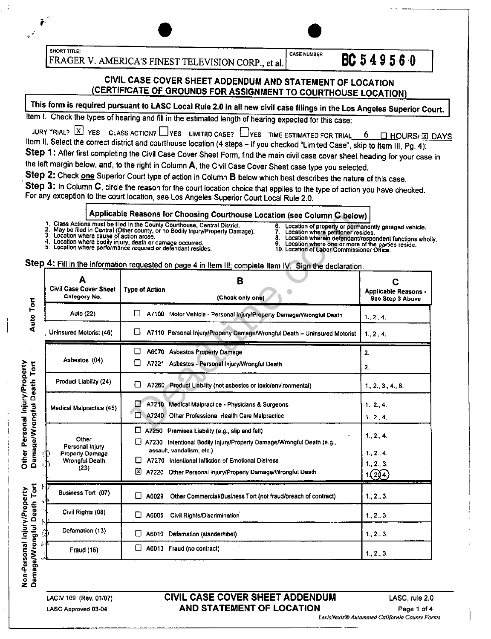SHORT TITLE:<br>
FR A GER V A MERICA'S EINTEST THE

FRAGER V. AMERICA'S FINEST TELEVISION CORP., et al.  $\begin{bmatrix} \cos\theta & \cos\theta\end{bmatrix}$  **BC** 5 4 9 5 6 0

### CIVIL CASE COVER SHEET ADDENDUM AND STATEMENT OF LOCATION CERTIFICATE OF GROUNDS FOR ASSIGNMENT TO COURTHOUSE LOCATION

This form is required pursuant to LASC Local Rule 2.0 in all new civil case filings in the Los Angeles Superior Court.

Item I. Check the types of hearing and fill in the estimated length of hearing expected for this case:

JURY TRIAL?  $\boxed{\text{X}}$  YES CLASS ACTION?  $\boxed{\phantom{\text{X}}}$  YES LIMITED CASE?  $\boxed{\phantom{\text{X}}}$  YES TIME ESTIMATED FOR TRIAL  $\boxed{\phantom{\text{X}}}$   $\boxed{\text{A}}$  HOURS/ $\boxed{\text{X}}$  DAYS Item II. Select the correct district and courthouse location (4 steps - If you checked "Limited Case", skip to Item III, Pg. 4): Step 1: After first completing the Civil Case Cover Sheet Form, find the main civil case cover sheet heading for your case in

the left margin below, and, to the right in Column A, the Civil Case Cover Sheet case type you selected.

Step 2: Check one Superior Court type of action in Column B below which best describes the nature of this case.

Step 3: In Column C, circle the reason for the court location choice that applies to the type of action you have checked. For any exception to the court location. see Los Angeles Superior Court Local Rule 2.0.

### Applicable Reasons for Choosing Courthouse Location (see Column C below)

- 
- 4. Location where bodily injury, death or damage occurred. 5. Location where performance required or defendant resides.
- 6. Location of property or permanently garaged vehicle. 7. Location where petitioner resides.

--"----- --------,

- 
- 8. Location wherein defendant/respondent functions wholly.<br>9. Location where one or more of the parties reside.<br>10. Location of Labor Commissioner Office.
- 

CASE NUMBER

|                                                             | 3. Location where cause of action arose.<br>4.                              | Applicable Reasons for Choosing Courthouse Location (see Column C below)<br>1. Class Actions must be filed in the County Courthouse, Central District.<br>6.<br>Location of property or permanently garaged vehicle.<br>2. May be filed in Central (Other county, or no Bodily Injury/Property Damage).<br>Location where petitioner resides.<br>8.<br>Location wherein defendant/respondent functions who<br>Location where bodily injury, death or damage occurred.<br>Location where one or more of the parties reside.<br>9.<br>5. Location where performance required or defendant resides.<br>10. Location of Labor Commissioner Office. |                                                      |
|-------------------------------------------------------------|-----------------------------------------------------------------------------|------------------------------------------------------------------------------------------------------------------------------------------------------------------------------------------------------------------------------------------------------------------------------------------------------------------------------------------------------------------------------------------------------------------------------------------------------------------------------------------------------------------------------------------------------------------------------------------------------------------------------------------------|------------------------------------------------------|
|                                                             |                                                                             | Step 4: Fill in the information requested on page 4 in Item III; complete Item IV. Sign the declaration.                                                                                                                                                                                                                                                                                                                                                                                                                                                                                                                                       |                                                      |
|                                                             | А<br><b>Civil Case Cover Sheet</b><br>Category No.                          | B<br><b>Type of Action</b><br>(Check only one)                                                                                                                                                                                                                                                                                                                                                                                                                                                                                                                                                                                                 | C<br><b>Applicable Reasons -</b><br>See Step 3 Above |
| Auto Tort                                                   | Auto (22)                                                                   | ŧΙ<br>A7100 Motor Vehicle - Personal Injury/Property Damage/Wrongful Death                                                                                                                                                                                                                                                                                                                                                                                                                                                                                                                                                                     | 1.2.4.                                               |
|                                                             | Uninsured Motorist (46)                                                     | A7110 Personal Injury/Property Damage/Wrongful Death - Uninsured Motorist                                                                                                                                                                                                                                                                                                                                                                                                                                                                                                                                                                      | 1.2.4.                                               |
|                                                             |                                                                             | ப<br>A6070 Asbestos Property Damage                                                                                                                                                                                                                                                                                                                                                                                                                                                                                                                                                                                                            | 2.                                                   |
| Tort                                                        | Asbestos (04)                                                               | A7221 Asbestos - Personal Injury/Wrongful Death                                                                                                                                                                                                                                                                                                                                                                                                                                                                                                                                                                                                | 2.                                                   |
|                                                             | Product Liability (24)                                                      | П<br>A7260 Product Liability (not asbestos or toxic/environmental)                                                                                                                                                                                                                                                                                                                                                                                                                                                                                                                                                                             | 1, 2, 3, 4, 8                                        |
|                                                             | Medical Malpractice (45)                                                    | L.I<br>A7210 Medical Malpractice - Physicians & Surgeons<br>Ω<br>A7240 Other Professional Health Care Malpractice                                                                                                                                                                                                                                                                                                                                                                                                                                                                                                                              | 1, 2, 4<br>1, 2, 4.                                  |
| Other Personal Injury/Property<br>Damage/Wrongful Death     | Other<br>Personal Injury<br><b>Property Damage</b><br><b>Wrongful Death</b> | $\Box$ A7250 Premises Liability (e.g., slip and fall)<br>[ A7230 Intentional Bodily Injury/Property Damage/Wrongful Death (e.g.,<br>assault, vandalism, etc.)<br>П<br>A7270 Intentional Infliction of Emotional Distress                                                                                                                                                                                                                                                                                                                                                                                                                       | 1, 2, 4<br>1., 2., 4.<br>1, 2, 3.                    |
|                                                             | (23)                                                                        | ×<br>A7220 Other Personal Injury/Property Damage/Wrongful Death                                                                                                                                                                                                                                                                                                                                                                                                                                                                                                                                                                                | 1(2)(4)                                              |
| Tort                                                        | Business Tort (07)                                                          | U<br>A6029<br>Other Commercial/Business Tort (not fraud/breach of contract)                                                                                                                                                                                                                                                                                                                                                                                                                                                                                                                                                                    | 1, 2, 3.                                             |
|                                                             | Civil Rights (08)                                                           | ப<br>A6005<br>Civil Rights/Discrimination                                                                                                                                                                                                                                                                                                                                                                                                                                                                                                                                                                                                      | $1, 2, 3$ .                                          |
|                                                             | Defamation (13)                                                             | A6010 Defamation (slander/libel)<br>⊔                                                                                                                                                                                                                                                                                                                                                                                                                                                                                                                                                                                                          | 1, 2, 3.                                             |
|                                                             | <b>Fraud (16)</b>                                                           | O<br>A6013 Fraud (no contract)                                                                                                                                                                                                                                                                                                                                                                                                                                                                                                                                                                                                                 | $1, 2, 3$ .                                          |
| <b>Von-Personal Injury/Property</b><br>amage/Wrongful Death |                                                                             |                                                                                                                                                                                                                                                                                                                                                                                                                                                                                                                                                                                                                                                |                                                      |

LACIV 109 (Rev. 01107) LASC Approved 03-04

lon-Pe<br><sup>gennag</sup> ទី ទី<br>2 ១

### CIVIL CASE COVER SHEET ADDENDUM LASC, rule 2.0 AND STATEMENT OF LOCATION Page 1 of 4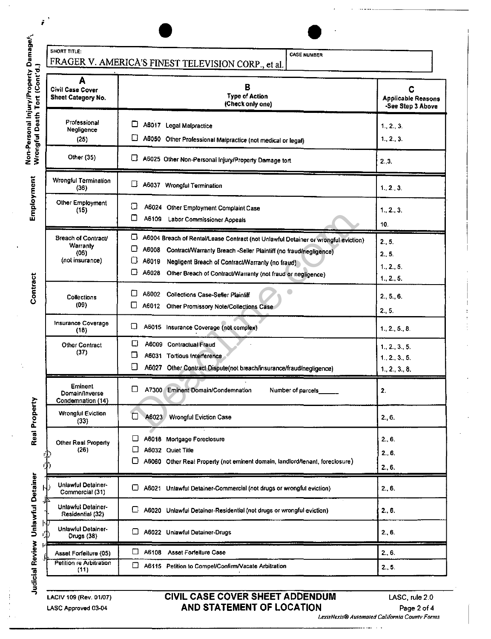| SHORT TITLE:                                        | <b>CASE NUMBER</b> |
|-----------------------------------------------------|--------------------|
| FRAGER V. AMERICA'S FINEST TELEVISION CORP., et al. |                    |
|                                                     |                    |

;

| Non-Personal Injury/Property Damage $k_1$<br>Tort (Cont'd.) | A                                                                 | FRAGER V. AMERICA'S FINEST TELEVISION CORP., et al.                                                                                                                                                                                                                                                                     |                                                     |  |
|-------------------------------------------------------------|-------------------------------------------------------------------|-------------------------------------------------------------------------------------------------------------------------------------------------------------------------------------------------------------------------------------------------------------------------------------------------------------------------|-----------------------------------------------------|--|
|                                                             | <b>Civil Case Cover</b><br>Sheet Category No.                     | в<br><b>Type of Action</b><br>(Check only one)                                                                                                                                                                                                                                                                          | С<br><b>Applicable Reasons</b><br>-See Step 3 Above |  |
| Wrongful Death                                              | Professional<br>Negligence<br>(25)                                | ⊔<br>A6017 Legal Malpractice<br>A6050 Other Professional Malpractice (not medical or legal)                                                                                                                                                                                                                             | 1, 2, 3<br>1, 2, 3                                  |  |
|                                                             | Other (35)                                                        | u<br>A6025 Other Non-Personal Injury/Property Damage tort                                                                                                                                                                                                                                                               | 2.3.                                                |  |
|                                                             | Wrongful Termination<br>(36)                                      | ∐<br>A6037 Wrongful Termination                                                                                                                                                                                                                                                                                         | 1.2.3.                                              |  |
| Employment                                                  | Other Employment<br>(15)                                          | □<br>A6024 Other Employment Complaint Case<br>C<br>A6109 Labor Commissioner Appeals                                                                                                                                                                                                                                     | 1. 2. 3.<br>10.                                     |  |
|                                                             | <b>Breach of Contract/</b><br>Warranty<br>(06)<br>(not insurance) | □<br>A6004 Breach of Rental/Lease Contract (not Unlawful Detainer or wrongful eviction)<br>□<br>A6008<br>Contract/Warranty Breach -Seller Plaintiff (no fraud/negligence)<br>ΙI<br>A6019<br>Negligent Breach of Contract/Warranty (no fraud)<br>IJ<br>A6028 Other Breach of Contract/Warranty (not fraud or negligence) | 2.5.<br>2., 5.<br>1.2.5<br>1.2.5.                   |  |
| Contract                                                    | Collections<br>(09)                                               | ΙI<br>A6002<br><b>Collections Case-Seller Plaintiff</b><br>U<br>A6012 Other Promissory Note/Collections Case                                                                                                                                                                                                            | 2, 5, 6<br>2, 5.                                    |  |
|                                                             | Insurance Coverage<br>(18)                                        | ⊔<br>A6015 Insurance Coverage (not complex)                                                                                                                                                                                                                                                                             | 1., 2., 5., 8.                                      |  |
|                                                             | Other Contract<br>(37)                                            | O<br>A6009 Contractual Fraud<br>П<br>A6031 Tortious Interference<br>□<br>A6027 Other Contract Dispute(not breach/insurance/fraud/negligence)                                                                                                                                                                            | 1.2.3.5.<br>1.2., 3., 5.<br>1.2.3.8.                |  |
|                                                             | <b>Eminent</b><br>Domain/Inverse<br>Condemnation (14)             | □<br>A7300<br>Eminent Domain/Condemnation<br>Number of parcels                                                                                                                                                                                                                                                          | 2.                                                  |  |
| Real Propert                                                | <b>Wrongful Eviction</b><br>(33)                                  | □<br>A6023 Wrongful Eviction Case                                                                                                                                                                                                                                                                                       | 2., 6.                                              |  |
|                                                             | Other Real Property<br>(26)                                       | A6018 Mortgage Foreclosure<br>A6032 Quiet Title<br>╘<br>A6060 Other Real Property (not eminent domain, landlord/tenant, foreclosure)                                                                                                                                                                                    | 2., 6.<br>2, 6.<br>2.6.                             |  |
|                                                             | <b>Unlawful Detainer-</b><br>Commercial (31)                      | O<br>A6021 Unlawful Detainer-Commercial (not drugs or wrongful eviction)                                                                                                                                                                                                                                                | 2, 6.                                               |  |
| Judicial Review Unlawful Detainer                           | Unlawful Detainer-<br>Residential (32)                            | A6020 Unlawful Detainer-Residential (not drugs or wrongful eviction)                                                                                                                                                                                                                                                    | 2.6                                                 |  |
|                                                             | Unlawful Detainer-<br>Drugs (38)                                  | ப<br>A6022 Unlawful Detainer-Drugs                                                                                                                                                                                                                                                                                      | 2.6                                                 |  |
|                                                             | Asset Forfeiture (05)<br>Petition re Arbitration<br>(11)          | A6108<br><b>Asset Forfeiture Case</b><br>⊡<br>A6115 Petition to Compel/Confirm/Vacate Arbitration                                                                                                                                                                                                                       | 2, 6.<br>2.5.                                       |  |

**Example:** 

LACIV 109 (Rev. 01/07) LASC Approved 03-04

### CIVIL CASE COVER SHEET ADDENDUM AND STATEMENT OF LOCATION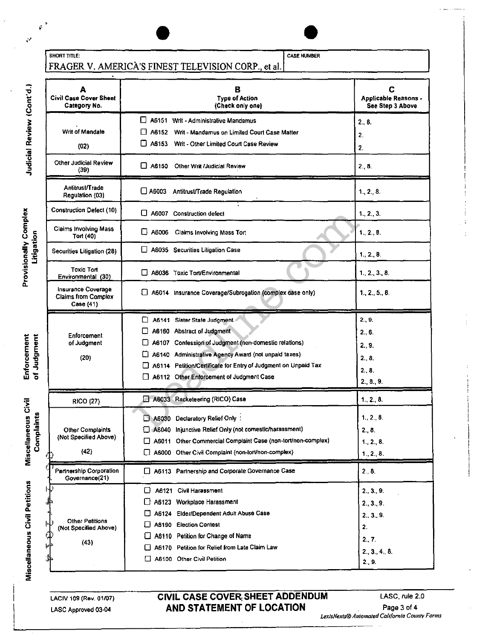| <b>SHORT TITLE:</b> |                                                     |
|---------------------|-----------------------------------------------------|
|                     | FRAGER V. AMERICA'S FINEST TELEVISION CORP., et al. |

| А<br><b>Civil Case Cover Sheet</b><br>Category No.            |              | С<br>Applicable Reasons -<br>See Step 3 Above                  |                |
|---------------------------------------------------------------|--------------|----------------------------------------------------------------|----------------|
|                                                               |              | A6151 Writ - Administrative Mandamus                           | 2., 8.         |
| Writ of Mandate                                               |              | A6152 Writ - Mandamus on Limited Court Case Matter             | 2.             |
| (02)                                                          |              | A6153 Writ - Other Limited Court Case Review                   | 2.             |
| Other Judicial Review<br>(39)                                 | □ A6150      | Other Writ /Judicial Review                                    | 2., 8.         |
| Antitrust/Trade<br>Regulation (03)                            | $\Box$ A6003 | Antitrust/Trade Regulation                                     | 1., 2., 8.     |
| <b>Construction Defect (10)</b>                               |              | LJ A6007 Construction defect                                   | 1., 2., 3.     |
| <b>Claims Involving Mass</b><br>Tort (40)                     |              | A6006 Claims Involving Mass Tort                               | 1, 2, 8.       |
| Securities Litigation (28)                                    |              | A6035 Securities Litigation Case                               | 1, 2, 8.       |
| <b>Toxic Ton</b><br>Environmental (30)                        |              | A6036 Toxic Tort/Environmental                                 | 1, 2, 3, 8     |
| Insurance Coverage<br><b>Claims from Complex</b><br>Case (41) |              | A6014 Insurance Coverage/Subrogation (complex case only)       | 1., 2., 5., 8. |
|                                                               |              | A6141 Sister State Judgment                                    | 2.9.           |
| Enforcement                                                   |              | A6160 Abstract of Judgment                                     | 2.6.           |
| of Judgment                                                   |              | A6107 Confession of Judgment (non-domestic relations)          | 2.9.           |
| (20)                                                          |              | A6140 Administrative Agency Award (not unpaid taxes)           | 2.8.           |
|                                                               |              | A6114 Petition/Certificate for Entry of Judgment on Unpaid Tax | 2.8            |
|                                                               |              | A6112 Other Enforcement of Judgment Case                       | 2, 8, 9.       |
| <b>RICO (27)</b>                                              |              | A6033 Racketeering (RICO) Case                                 | 1.2.8.         |
|                                                               |              | A6030 Declaratory Relief Only .                                | 1, 2, 8.       |
| <b>Other Complaints</b>                                       |              | A6040 Injunctive Relief Only (not domestic/harassment)         | 2, 8           |
| (Not Specified Above)                                         |              | A6011 Other Commercial Complaint Case (non-tort/non-complex)   | 1, 2, 8.       |
| (42)                                                          |              | A6000 Other Civil Complaint (non-lort/non-complex)             | 1., 2., 8.     |
| Partnership Corporation<br>Governance(21)                     |              | A6113 Partnership and Corporate Governance Case                | 2.8.           |
|                                                               | ⊔            | A6121 Civil Harassment                                         | 2., 3., 9.     |
|                                                               |              | A6123 Workplace Harassment                                     | 2, 3, 9.       |
|                                                               | ப            | A6124 Elder/Dependent Adult Abuse Case                         | 2., 3., 9.     |
| Other Petitions<br>(Not Specified Above)                      | ⊔            | A6190 Election Contest                                         | 2.             |
|                                                               |              | A6110 Petition for Change of Name                              | 2.7.           |
| (43)                                                          | l 1          | A6170 Petition for Relief from Late Claim Law                  | 2., 3., 4., 8. |
|                                                               |              | A6100 Other Civil Petition                                     | 2., 9.         |

CASE NUMBER

**EXAMPLE 2014** 

LACIV 109 (Rev. 01/07) LASC Approved 03·04

CIVIL CASE COVER, SHEET ADDENDUM AND STATEMENT OF LOCATION

Judicial Review (Cont'd.)

Ý

 $\ddot{\phantom{0}}$ 

 $\frac{\bullet}{\mathbf{a}}$ E ំ ភ្នំ isionally<br>Litigati

·~ 0..

.... nen<br>E E<br>E E orcer<br>Judgr Enforcer<br>of Judgr

Miscellaneous Civil<br>Complaints

Miscellaneous Civil Petitions